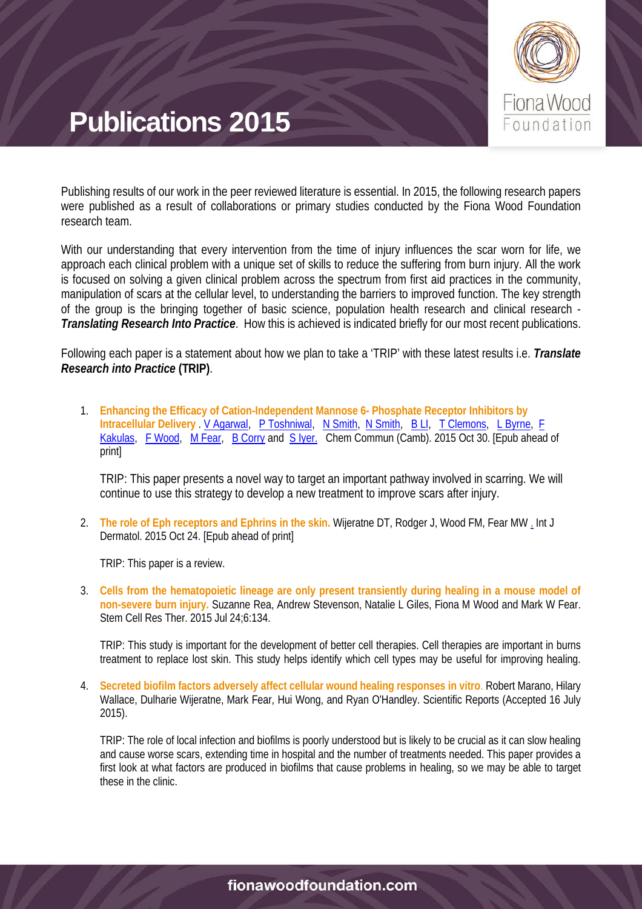

Publishing results of our work in the peer reviewed literature is essential. In 2015, the following research papers were published as a result of collaborations or primary studies conducted by the Fiona Wood Foundation research team.

With our understanding that every intervention from the time of injury influences the scar worn for life, we approach each clinical problem with a unique set of skills to reduce the suffering from burn injury. All the work is focused on solving a given clinical problem across the spectrum from first aid practices in the community, manipulation of scars at the cellular level, to understanding the barriers to improved function. The key strength of the group is the bringing together of basic science, population health research and clinical research - *Translating Research Into Practice*. How this is achieved is indicated briefly for our most recent publications.

Following each paper is a statement about how we plan to take a 'TRIP' with these latest results i.e. *Translate Research into Practice* **(TRIP)**.

1. **Enhancing the Efficacy of Cation-Independent Mannose 6- Phosphate Receptor Inhibitors by**  Intracellular Delivery . [V Agarwal,](http://pubs.rsc.org/en/results?searchtext=Author%3AVipul%20Agarwal) [P Toshniwal,](http://pubs.rsc.org/en/results?searchtext=Author%3APriyanka%20Toshniwal) [N Smith,](http://pubs.rsc.org/en/results?searchtext=Author%3ANatalie%20Smith) [N Smith,](http://pubs.rsc.org/en/results?searchtext=Author%3ANicole%20M.%20Smith) [B LI,](http://pubs.rsc.org/en/results?searchtext=Author%3ABINBIN%20LI) [T Clemons,](http://pubs.rsc.org/en/results?searchtext=Author%3ATristan%20Clemons) [L Byrne,](http://pubs.rsc.org/en/results?searchtext=Author%3ALindsay%20Byrne) F [Kakulas,](http://pubs.rsc.org/en/results?searchtext=Author%3AFoteini%20Kakulas) [F Wood,](http://pubs.rsc.org/en/results?searchtext=Author%3AFiona%20Wood) [M Fear,](http://pubs.rsc.org/en/results?searchtext=Author%3AMark%20Fear) [B Corry](http://pubs.rsc.org/en/results?searchtext=Author%3ABen%20Corry) and [S Iyer.](http://pubs.rsc.org/en/results?searchtext=Author%3ASwaminathan%20Iyer) Chem Commun (Camb). 2015 Oct 30. [Epub ahead of print]

TRIP: This paper presents a novel way to target an important pathway involved in scarring. We will continue to use this strategy to develop a new treatment to improve scars after injury.

2. **The role of Eph receptors and Ephrins in the skin.** Wijeratne DT, Rodger J, Wood FM, Fear M[W .](http://www.ncbi.nlm.nih.gov/pubmed/26498559) Int J Dermatol. 2015 Oct 24. [Epub ahead of print]

TRIP: This paper is a review.

3. **Cells from the hematopoietic lineage are only present transiently during healing in a mouse model of non-severe burn injury.** Suzanne Rea, Andrew Stevenson, Natalie L Giles, Fiona M Wood and Mark W Fear. Stem Cell Res Ther. 2015 Jul 24;6:134.

TRIP: This study is important for the development of better cell therapies. Cell therapies are important in burns treatment to replace lost skin. This study helps identify which cell types may be useful for improving healing.

4. **Secreted biofilm factors adversely affect cellular wound healing responses in vitro**. Robert Marano, Hilary Wallace, Dulharie Wijeratne, Mark Fear, Hui Wong, and Ryan O'Handley. Scientific Reports (Accepted 16 July 2015).

TRIP: The role of local infection and biofilms is poorly understood but is likely to be crucial as it can slow healing and cause worse scars, extending time in hospital and the number of treatments needed. This paper provides a first look at what factors are produced in biofilms that cause problems in healing, so we may be able to target these in the clinic.

#### fionawoodfoundation.com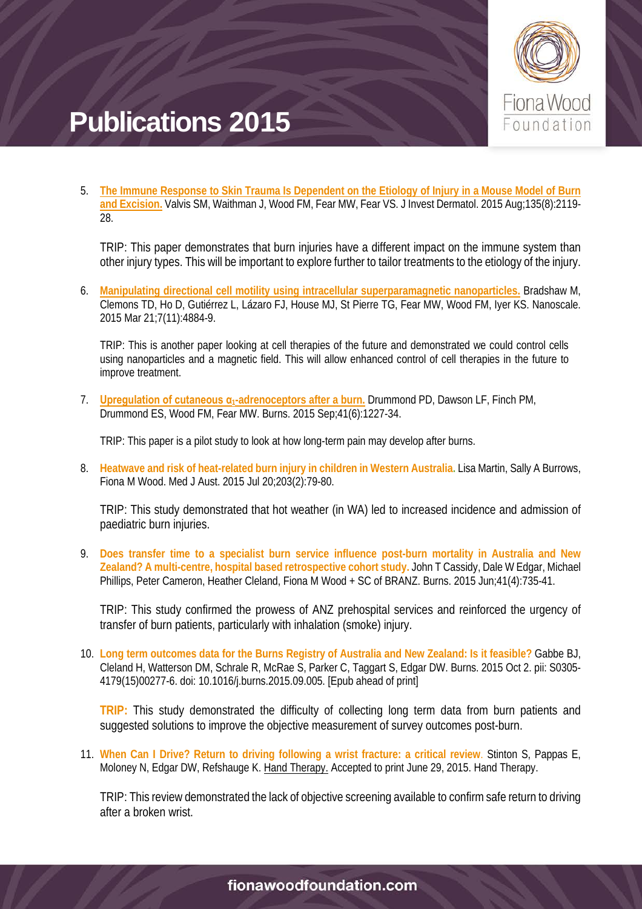

5. **[The Immune Response to Skin Trauma Is Dependent on the Etiology of Injury in a Mouse Model of Burn](http://www.ncbi.nlm.nih.gov/pubmed/25826422)  [and Excision.](http://www.ncbi.nlm.nih.gov/pubmed/25826422)** Valvis SM, Waithman J, Wood FM, Fear MW, Fear VS. J Invest Dermatol. 2015 Aug;135(8):2119- 28.

TRIP: This paper demonstrates that burn injuries have a different impact on the immune system than other injury types. This will be important to explore further to tailor treatments to the etiology of the injury.

6. **[Manipulating directional cell motility using intracellular superparamagnetic nanoparticles.](http://www.ncbi.nlm.nih.gov/pubmed/25695187)** Bradshaw M, Clemons TD, Ho D, Gutiérrez L, Lázaro FJ, House MJ, St Pierre TG, Fear MW, Wood FM, Iyer KS. Nanoscale. 2015 Mar 21;7(11):4884-9.

TRIP: This is another paper looking at cell therapies of the future and demonstrated we could control cells using nanoparticles and a magnetic field. This will allow enhanced control of cell therapies in the future to improve treatment.

7. **Upregulation of cutaneous α[1-adrenoceptors after a burn.](http://www.ncbi.nlm.nih.gov/pubmed/25630693)** Drummond PD, Dawson LF, Finch PM, Drummond ES, Wood FM, Fear MW. Burns. 2015 Sep;41(6):1227-34.

TRIP: This paper is a pilot study to look at how long-term pain may develop after burns.

8. **Heatwave and risk of heat-related burn injury in children in Western Australia.** Lisa Martin, Sally A Burrows, Fiona M Wood. Med J Aust. 2015 Jul 20;203(2):79-80.

TRIP: This study demonstrated that hot weather (in WA) led to increased incidence and admission of paediatric burn injuries.

9. **Does transfer time to a specialist burn service influence post-burn mortality in Australia and New Zealand? A multi-centre, hospital based retrospective cohort study.** John T Cassidy, Dale W Edgar, Michael Phillips, Peter Cameron, Heather Cleland, Fiona M Wood + SC of BRANZ. Burns. 2015 Jun;41(4):735-41.

TRIP: This study confirmed the prowess of ANZ prehospital services and reinforced the urgency of transfer of burn patients, particularly with inhalation (smoke) injury.

10. **Long term outcomes data for the Burns Registry of Australia and New Zealand: Is it feasible?** Gabbe BJ, Cleland H, Watterson DM, Schrale R, McRae S, Parker C, Taggart S, Edgar DW. Burns. 2015 Oct 2. pii: S0305- 4179(15)00277-6. doi: 10.1016/j.burns.2015.09.005. [Epub ahead of print]

**TRIP:** This study demonstrated the difficulty of collecting long term data from burn patients and suggested solutions to improve the objective measurement of survey outcomes post-burn.

11. **When Can I Drive? Return to driving following a wrist fracture: a critical review**. Stinton S, Pappas E, Moloney N, Edgar DW, Refshauge K. Hand Therapy. Accepted to print June 29, 2015. Hand Therapy.

TRIP: This review demonstrated the lack of objective screening available to confirm safe return to driving after a broken wrist.

#### fionawoodfoundation.com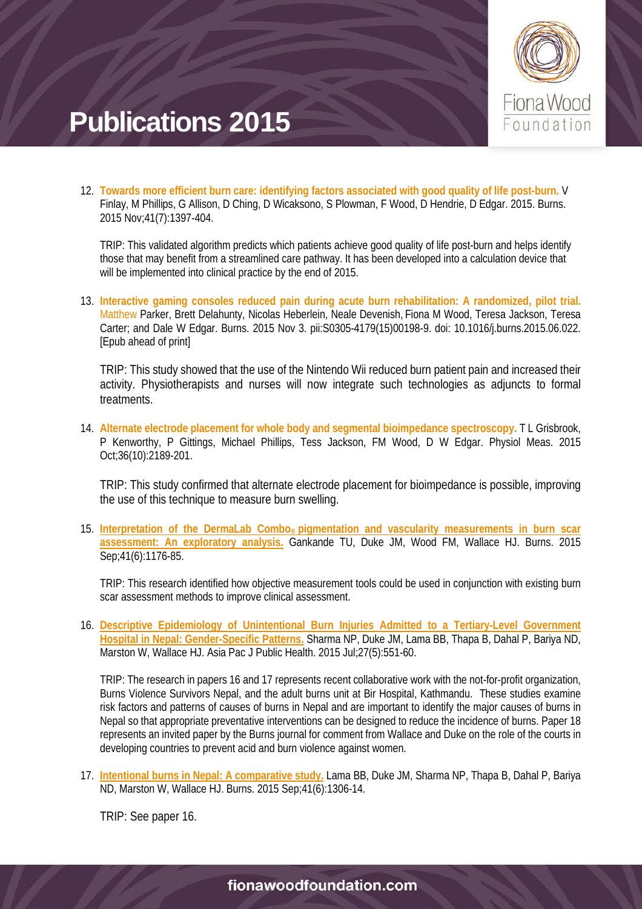

12. **Towards more efficient burn care: identifying factors associated with good quality of life post-burn.** V Finlay, M Phillips, G Allison, D Ching, D Wicaksono, S Plowman, F Wood, D Hendrie, D Edgar. 2015. Burns. 2015 Nov;41(7):1397-404.

TRIP: This validated algorithm predicts which patients achieve good quality of life post-burn and helps identify those that may benefit from a streamlined care pathway. It has been developed into a calculation device that will be implemented into clinical practice by the end of 2015.

13. **Interactive gaming consoles reduced pain during acute burn rehabilitation: A randomized, pilot trial.**  Matthew Parker, Brett Delahunty, Nicolas Heberlein, Neale Devenish, Fiona M Wood, Teresa Jackson, Teresa Carter; and Dale W Edgar. Burns. 2015 Nov 3. pii:S0305-4179(15)00198-9. doi: 10.1016/j.burns.2015.06.022. [Epub ahead of print]

TRIP: This study showed that the use of the Nintendo Wii reduced burn patient pain and increased their activity. Physiotherapists and nurses will now integrate such technologies as adjuncts to formal treatments.

14. **Alternate electrode placement for whole body and segmental bioimpedance spectroscopy.** T L Grisbrook, P Kenworthy, P Gittings, Michael Phillips, Tess Jackson, FM Wood, D W Edgar. Physiol Meas. 2015 Oct;36(10):2189-201.

TRIP: This study confirmed that alternate electrode placement for bioimpedance is possible, improving the use of this technique to measure burn swelling.

15. **Interpretation of the DermaLab Combo® [pigmentation and vascularity measurements in burn scar](http://www.ncbi.nlm.nih.gov/pubmed/25703660)  [assessment: An exploratory analysis.](http://www.ncbi.nlm.nih.gov/pubmed/25703660)** Gankande TU, Duke JM, Wood FM, Wallace HJ. Burns. 2015 Sep;41(6):1176-85.

TRIP: This research identified how objective measurement tools could be used in conjunction with existing burn scar assessment methods to improve clinical assessment.

16. **[Descriptive Epidemiology of Unintentional Burn Injuries Admitted to a Tertiary-Level Government](http://www.ncbi.nlm.nih.gov/pubmed/25957289)  [Hospital in Nepal: Gender-Specific Patterns.](http://www.ncbi.nlm.nih.gov/pubmed/25957289)** Sharma NP, Duke JM, Lama BB, Thapa B, Dahal P, Bariya ND, Marston W, Wallace HJ. Asia Pac J Public Health. 2015 Jul;27(5):551-60.

TRIP: The research in papers 16 and 17 represents recent collaborative work with the not-for-profit organization, Burns Violence Survivors Nepal, and the adult burns unit at Bir Hospital, Kathmandu. These studies examine risk factors and patterns of causes of burns in Nepal and are important to identify the major causes of burns in Nepal so that appropriate preventative interventions can be designed to reduce the incidence of burns. Paper 18 represents an invited paper by the Burns journal for comment from Wallace and Duke on the role of the courts in developing countries to prevent acid and burn violence against women.

17. **[Intentional burns in Nepal: A comparative study.](http://www.ncbi.nlm.nih.gov/pubmed/25716765)** Lama BB, Duke JM, Sharma NP, Thapa B, Dahal P, Bariya ND, Marston W, Wallace HJ. Burns. 2015 Sep;41(6):1306-14.

TRIP: See paper 16.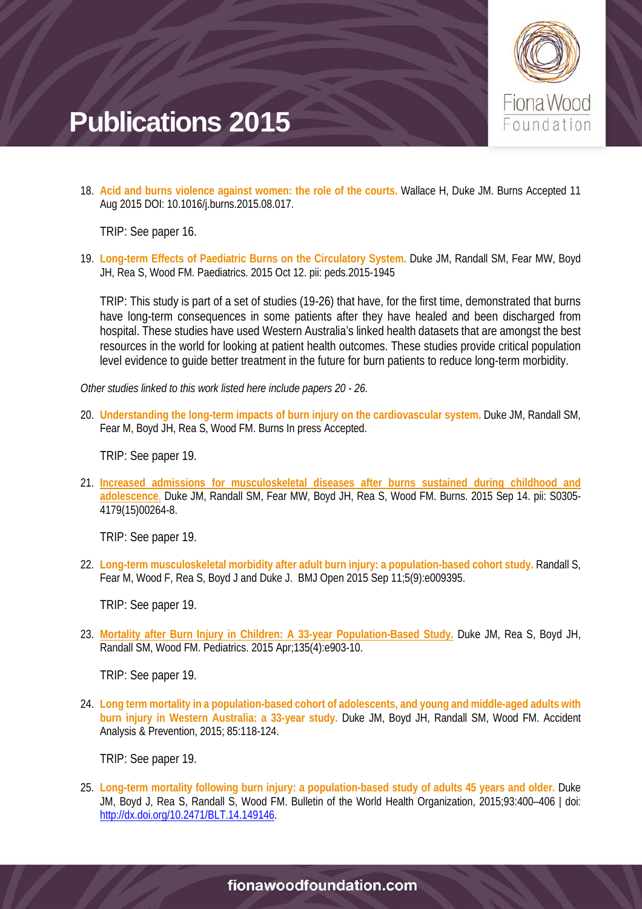

18. **Acid and burns violence against women: the role of the courts.** Wallace H, Duke JM. Burns Accepted 11 Aug 2015 DOI: 10.1016/j.burns.2015.08.017.

TRIP: See paper 16.

19. **Long-term Effects of Paediatric Burns on the Circulatory System.** Duke JM, Randall SM, Fear MW, Boyd JH, Rea S, Wood FM. Paediatrics. 2015 Oct 12. pii: peds.2015-1945

TRIP: This study is part of a set of studies (19-26) that have, for the first time, demonstrated that burns have long-term consequences in some patients after they have healed and been discharged from hospital. These studies have used Western Australia's linked health datasets that are amongst the best resources in the world for looking at patient health outcomes. These studies provide critical population level evidence to guide better treatment in the future for burn patients to reduce long-term morbidity.

*Other studies linked to this work listed here include papers 20 - 26.*

20. **Understanding the long-term impacts of burn injury on the cardiovascular system.** Duke JM, Randall SM, Fear M, Boyd JH, Rea S, Wood FM. Burns In press Accepted.

TRIP: See paper 19.

21. **[Increased admissions for musculoskeletal diseases after burns sustained during childhood and](http://www.ncbi.nlm.nih.gov/pubmed/26382827)  [adolescence](http://www.ncbi.nlm.nih.gov/pubmed/26382827)**. Duke JM, Randall SM, Fear MW, Boyd JH, Rea S, Wood FM. Burns. 2015 Sep 14. pii: S0305- 4179(15)00264-8.

TRIP: See paper 19.

22. **Long-term musculoskeletal morbidity after adult burn injury: a population-based cohort study.** Randall S, Fear M, Wood F, Rea S, Boyd J and Duke J. BMJ Open 2015 Sep 11;5(9):e009395.

TRIP: See paper 19.

23. **[Mortality after Burn Injury in Children: A 33-year Population-Based Study.](http://www.ncbi.nlm.nih.gov/pubmed/25802351)** Duke JM, Rea S, Boyd JH, Randall SM, Wood FM. Pediatrics. 2015 Apr;135(4):e903-10.

TRIP: See paper 19.

24. **Long term mortality in a population-based cohort of adolescents, and young and middle-aged adults with burn injury in Western Australia: a 33-year study.** Duke JM, Boyd JH, Randall SM, Wood FM. Accident Analysis & Prevention, 2015; 85:118-124.

TRIP: See paper 19.

25. **Long-term mortality following burn injury: a population-based study of adults 45 years and older.** Duke JM, Boyd J, Rea S, Randall S, Wood FM. Bulletin of the World Health Organization, 2015;93:400–406 | doi: [http://dx.doi.org/10.2471/BLT.14.149146.](http://dx.doi.org/10.2471/BLT.14.149146)

#### fionawoodfoundation.com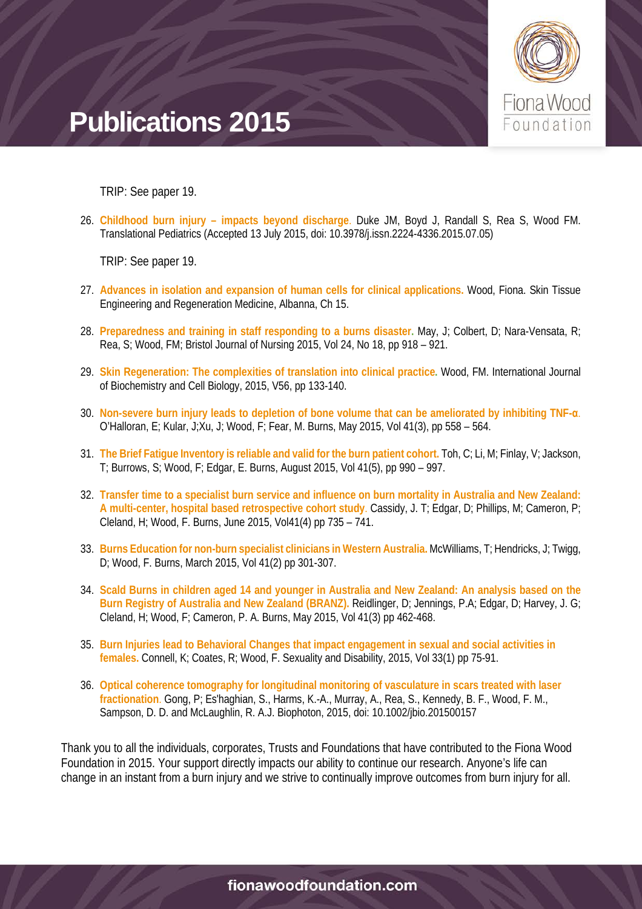

TRIP: See paper 19.

26. **Childhood burn injury – impacts beyond discharge**. Duke JM, Boyd J, Randall S, Rea S, Wood FM. Translational Pediatrics (Accepted 13 July 2015, doi: 10.3978/j.issn.2224-4336.2015.07.05)

TRIP: See paper 19.

- 27. **Advances in isolation and expansion of human cells for clinical applications.** Wood, Fiona. Skin Tissue Engineering and Regeneration Medicine, Albanna, Ch 15.
- 28. **Preparedness and training in staff responding to a burns disaster.** May, J; Colbert, D; Nara-Vensata, R; Rea, S; Wood, FM; Bristol Journal of Nursing 2015, Vol 24, No 18, pp 918 – 921.
- 29. **Skin Regeneration: The complexities of translation into clinical practice.** Wood, FM. International Journal of Biochemistry and Cell Biology, 2015, V56, pp 133-140.
- 30. **Non-severe burn injury leads to depletion of bone volume that can be ameliorated by inhibiting TNF-α**. O'Halloran, E; Kular, J;Xu, J; Wood, F; Fear, M. Burns, May 2015, Vol 41(3), pp 558 – 564.
- 31. **The Brief Fatigue Inventory is reliable and valid for the burn patient cohort.** Toh, C; Li, M; Finlay, V; Jackson, T; Burrows, S; Wood, F; Edgar, E. Burns, August 2015, Vol 41(5), pp 990 – 997.
- 32. **Transfer time to a specialist burn service and influence on burn mortality in Australia and New Zealand: A multi-center, hospital based retrospective cohort study**. Cassidy, J. T; Edgar, D; Phillips, M; Cameron, P; Cleland, H; Wood, F. Burns, June 2015, Vol41(4) pp 735 – 741.
- 33. **Burns Education for non-burn specialist clinicians in Western Australia.** McWilliams, T; Hendricks, J; Twigg, D; Wood, F. Burns, March 2015, Vol 41(2) pp 301-307.
- 34. **Scald Burns in children aged 14 and younger in Australia and New Zealand: An analysis based on the Burn Registry of Australia and New Zealand (BRANZ).** Reidlinger, D; Jennings, P.A; Edgar, D; Harvey, J. G; Cleland, H; Wood, F; Cameron, P. A. Burns, May 2015, Vol 41(3) pp 462-468.
- 35. **Burn Injuries lead to Behavioral Changes that impact engagement in sexual and social activities in females.** Connell, K; Coates, R; Wood, F. Sexuality and Disability, 2015, Vol 33(1) pp 75-91.
- 36. **Optical coherence tomography for longitudinal monitoring of vasculature in scars treated with laser fractionation**. Gong, P; Es'haghian, S., Harms, K.-A., Murray, A., Rea, S., Kennedy, B. F., Wood, F. M., Sampson, D. D. and McLaughlin, R. A.J. Biophoton, 2015, doi: 10.1002/jbio.201500157

Thank you to all the individuals, corporates, Trusts and Foundations that have contributed to the Fiona Wood Foundation in 2015. Your support directly impacts our ability to continue our research. Anyone's life can change in an instant from a burn injury and we strive to continually improve outcomes from burn injury for all.